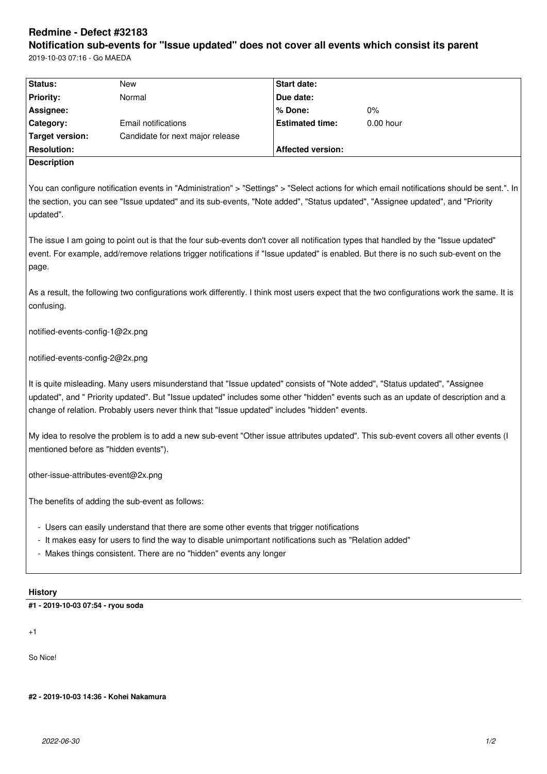# **Redmine - Defect #32183**

**Notification sub-events for "Issue updated" does not cover all events which consist its parent** 2019-10-03 07:16 - Go MAEDA

|                                                                                                                                                                                                                                                                                                                                                                   |                                                                                                                                | <b>Start date:</b>       |                                                                                                                                             |  |  |
|-------------------------------------------------------------------------------------------------------------------------------------------------------------------------------------------------------------------------------------------------------------------------------------------------------------------------------------------------------------------|--------------------------------------------------------------------------------------------------------------------------------|--------------------------|---------------------------------------------------------------------------------------------------------------------------------------------|--|--|
| Status:<br><b>Priority:</b>                                                                                                                                                                                                                                                                                                                                       | New<br>Normal                                                                                                                  | Due date:                |                                                                                                                                             |  |  |
|                                                                                                                                                                                                                                                                                                                                                                   |                                                                                                                                | % Done:                  | $0\%$                                                                                                                                       |  |  |
| Assignee:<br>Category:                                                                                                                                                                                                                                                                                                                                            | <b>Email notifications</b>                                                                                                     | <b>Estimated time:</b>   | $0.00$ hour                                                                                                                                 |  |  |
| <b>Target version:</b>                                                                                                                                                                                                                                                                                                                                            | Candidate for next major release                                                                                               |                          |                                                                                                                                             |  |  |
| <b>Resolution:</b>                                                                                                                                                                                                                                                                                                                                                |                                                                                                                                | <b>Affected version:</b> |                                                                                                                                             |  |  |
| <b>Description</b>                                                                                                                                                                                                                                                                                                                                                |                                                                                                                                |                          |                                                                                                                                             |  |  |
|                                                                                                                                                                                                                                                                                                                                                                   |                                                                                                                                |                          |                                                                                                                                             |  |  |
| updated".                                                                                                                                                                                                                                                                                                                                                         | the section, you can see "Issue updated" and its sub-events, "Note added", "Status updated", "Assignee updated", and "Priority |                          | You can configure notification events in "Administration" > "Settings" > "Select actions for which email notifications should be sent.". In |  |  |
| The issue I am going to point out is that the four sub-events don't cover all notification types that handled by the "Issue updated"<br>event. For example, add/remove relations trigger notifications if "Issue updated" is enabled. But there is no such sub-event on the<br>page.                                                                              |                                                                                                                                |                          |                                                                                                                                             |  |  |
| As a result, the following two configurations work differently. I think most users expect that the two configurations work the same. It is<br>confusing.                                                                                                                                                                                                          |                                                                                                                                |                          |                                                                                                                                             |  |  |
| notified-events-config-1@2x.png                                                                                                                                                                                                                                                                                                                                   |                                                                                                                                |                          |                                                                                                                                             |  |  |
| notified-events-config-2@2x.png                                                                                                                                                                                                                                                                                                                                   |                                                                                                                                |                          |                                                                                                                                             |  |  |
| It is quite misleading. Many users misunderstand that "Issue updated" consists of "Note added", "Status updated", "Assignee<br>updated", and " Priority updated". But "Issue updated" includes some other "hidden" events such as an update of description and a<br>change of relation. Probably users never think that "Issue updated" includes "hidden" events. |                                                                                                                                |                          |                                                                                                                                             |  |  |
| My idea to resolve the problem is to add a new sub-event "Other issue attributes updated". This sub-event covers all other events (I<br>mentioned before as "hidden events").                                                                                                                                                                                     |                                                                                                                                |                          |                                                                                                                                             |  |  |
| other-issue-attributes-event@2x.png                                                                                                                                                                                                                                                                                                                               |                                                                                                                                |                          |                                                                                                                                             |  |  |
| The benefits of adding the sub-event as follows:                                                                                                                                                                                                                                                                                                                  |                                                                                                                                |                          |                                                                                                                                             |  |  |
|                                                                                                                                                                                                                                                                                                                                                                   | - Users can easily understand that there are some other events that trigger notifications                                      |                          |                                                                                                                                             |  |  |
| - It makes easy for users to find the way to disable unimportant notifications such as "Relation added"                                                                                                                                                                                                                                                           |                                                                                                                                |                          |                                                                                                                                             |  |  |
|                                                                                                                                                                                                                                                                                                                                                                   | - Makes things consistent. There are no "hidden" events any longer                                                             |                          |                                                                                                                                             |  |  |
| <b>History</b>                                                                                                                                                                                                                                                                                                                                                    |                                                                                                                                |                          |                                                                                                                                             |  |  |
| #1 - 2019-10-03 07:54 - ryou soda                                                                                                                                                                                                                                                                                                                                 |                                                                                                                                |                          |                                                                                                                                             |  |  |
|                                                                                                                                                                                                                                                                                                                                                                   |                                                                                                                                |                          |                                                                                                                                             |  |  |
| $+1$                                                                                                                                                                                                                                                                                                                                                              |                                                                                                                                |                          |                                                                                                                                             |  |  |

So Nice!